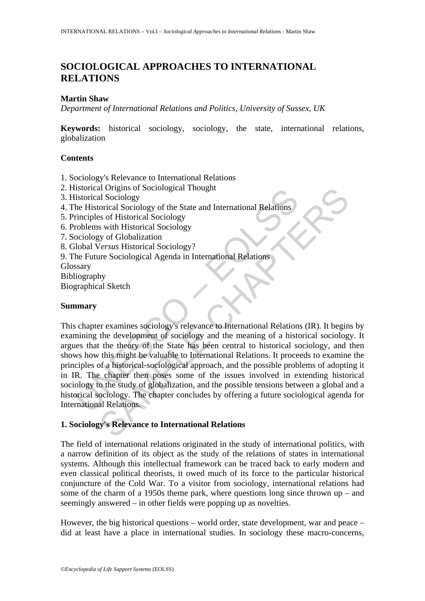# **SOCIOLOGICAL APPROACHES TO INTERNATIONAL RELATIONS**

## **Martin Shaw**

*Department of International Relations and Politics, University of Sussex, UK* 

**Keywords:** historical sociology, sociology, the state, international relations, globalization

## **Contents**

- 1. Sociology's Relevance to International Relations
- 2. Historical Origins of Sociological Thought
- 3. Historical Sociology
- 4. The Historical Sociology of the State and International Relations
- 5. Principles of Historical Sociology
- 6. Problems with Historical Sociology
- 7. Sociology of Globalization
- 8. Global V*ersus* Historical Sociology?
- 9. The Future Sociological Agenda in International Relations

**Glossary** 

Bibliography

Biographical Sketch

# **Summary**

usioncial Origins of Sociological Thought<br>
distorical Sociology<br>
listorical Sociology<br>
the Historical Sociology of the State and International Relations<br>
rinciples of Historical Sociology<br>
roblems with Historical Sociology al Sociology<br>
al Sociology<br>
al Sociology<br>
orical Sociology<br>
orical Sociology<br>
so of Historical Sociology<br>
sy of Globalization<br> *lersus* Historical Sociology<br>
yy of Globalization<br> *lersus* Historical Sociology<br>
2<br>
yy of Glo This chapter examines sociology's relevance to International Relations (IR). It begins by examining the development of sociology and the meaning of a historical sociology. It argues that the theory of the State has been central to historical sociology, and then shows how this might be valuable to International Relations. It proceeds to examine the principles of a historical-sociological approach, and the possible problems of adopting it in IR. The chapter then poses some of the issues involved in extending historical sociology to the study of globalization, and the possible tensions between a global and a historical sociology. The chapter concludes by offering a future sociological agenda for International Relations.

# **1. Sociology's Relevance to International Relations**

The field of international relations originated in the study of international politics, with a narrow definition of its object as the study of the relations of states in international systems. Although this intellectual framework can be traced back to early modern and even classical political theorists, it owed much of its force to the particular historical conjuncture of the Cold War. To a visitor from sociology, international relations had some of the charm of a 1950s theme park, where questions long since thrown  $up -$  and seemingly answered – in other fields were popping up as novelties.

However, the big historical questions – world order, state development, war and peace – did at least have a place in international studies. In sociology these macro-concerns,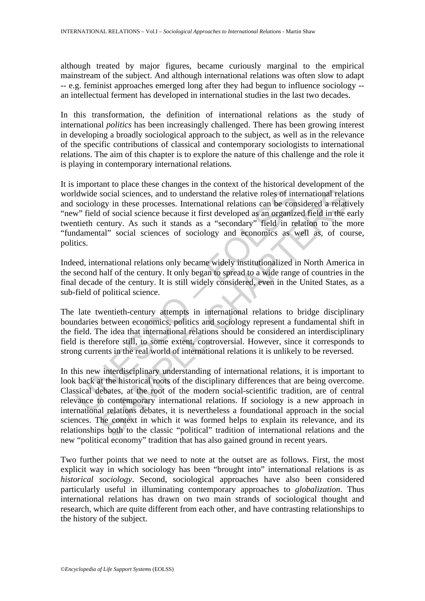although treated by major figures, became curiously marginal to the empirical mainstream of the subject. And although international relations was often slow to adapt -- e.g. feminist approaches emerged long after they had begun to influence sociology - an intellectual ferment has developed in international studies in the last two decades.

In this transformation, the definition of international relations as the study of international *politics* has been increasingly challenged. There has been growing interest in developing a broadly sociological approach to the subject, as well as in the relevance of the specific contributions of classical and contemporary sociologists to international relations. The aim of this chapter is to explore the nature of this challenge and the role it is playing in contemporary international relations.

Idwide social sciences, and to understand the relative roles of intsociology in these processes. International relations can be cons<sup>37</sup> field of social science because it first developed as an organizatieth century. As su It is important to place these changes in the context of the historical development of the worldwide social sciences, and to understand the relative roles of international relations and sociology in these processes. International relations can be considered a relatively "new" field of social science because it first developed as an organized field in the early twentieth century. As such it stands as a "secondary" field in relation to the more "fundamental" social sciences of sociology and economics as well as, of course, politics.

Indeed, international relations only became widely institutionalized in North America in the second half of the century. It only began to spread to a wide range of countries in the final decade of the century. It is still widely considered, even in the United States, as a sub-field of political science.

The late twentieth-century attempts in international relations to bridge disciplinary boundaries between economics, politics and sociology represent a fundamental shift in the field. The idea that international relations should be considered an interdisciplinary field is therefore still, to some extent, controversial. However, since it corresponds to strong currents in the real world of international relations it is unlikely to be reversed.

social sciences, and to understand the relative roles of international relative processes. International relative roles of international relative in the considered a relation of social sciences because it first developed a In this new interdisciplinary understanding of international relations, it is important to look back at the historical roots of the disciplinary differences that are being overcome. Classical debates, at the root of the modern social-scientific tradition, are of central relevance to contemporary international relations. If sociology is a new approach in international relations debates, it is nevertheless a foundational approach in the social sciences. The context in which it was formed helps to explain its relevance, and its relationships both to the classic "political" tradition of international relations and the new "political economy" tradition that has also gained ground in recent years.

Two further points that we need to note at the outset are as follows. First, the most explicit way in which sociology has been "brought into" international relations is as *historical sociology*. Second, sociological approaches have also been considered particularly useful in illuminating contemporary approaches to *globalization*. Thus international relations has drawn on two main strands of sociological thought and research, which are quite different from each other, and have contrasting relationships to the history of the subject.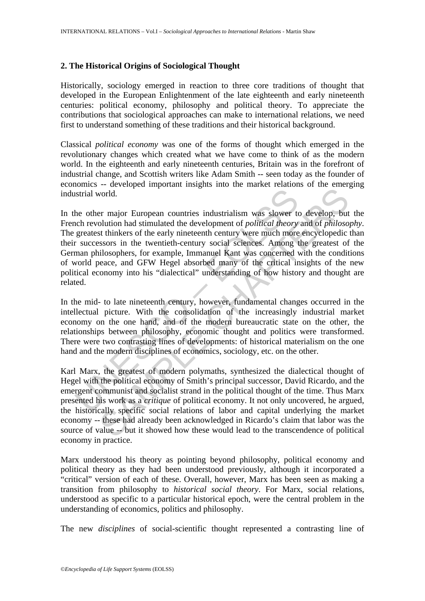### **2. The Historical Origins of Sociological Thought**

Historically, sociology emerged in reaction to three core traditions of thought that developed in the European Enlightenment of the late eighteenth and early nineteenth centuries: political economy, philosophy and political theory. To appreciate the contributions that sociological approaches can make to international relations, we need first to understand something of these traditions and their historical background.

Classical *political economy* was one of the forms of thought which emerged in the revolutionary changes which created what we have come to think of as the modern world. In the eighteenth and early nineteenth centuries, Britain was in the forefront of industrial change, and Scottish writers like Adam Smith -- seen today as the founder of economics -- developed important insights into the market relations of the emerging industrial world.

Instrial world.<br>
The other major European countries industrialism was slower trevolution had stimulated the development of *political theory*<br>
greatest thinkers of the early nineteenth century were much more<br>
r successors world.<br>
Somether major European countries industrialism was slower to develop, but<br>
buttion had stimulated the development of *political theory* and of *philosos*<br>
st thinkers of the early nineteenth century were much more In the other major European countries industrialism was slower to develop, but the French revolution had stimulated the development of *political theory* and of *philosophy*. The greatest thinkers of the early nineteenth century were much more encyclopedic than their successors in the twentieth-century social sciences. Among the greatest of the German philosophers, for example, Immanuel Kant was concerned with the conditions of world peace, and GFW Hegel absorbed many of the critical insights of the new political economy into his "dialectical" understanding of how history and thought are related.

In the mid- to late nineteenth century, however, fundamental changes occurred in the intellectual picture. With the consolidation of the increasingly industrial market economy on the one hand, and of the modern bureaucratic state on the other, the relationships between philosophy, economic thought and politics were transformed. There were two contrasting lines of developments: of historical materialism on the one hand and the modern disciplines of economics, sociology, etc. on the other.

Karl Marx, the greatest of modern polymaths, synthesized the dialectical thought of Hegel with the political economy of Smith's principal successor, David Ricardo, and the emergent communist and socialist strand in the political thought of the time. Thus Marx presented his work as a *critique* of political economy. It not only uncovered, he argued, the historically specific social relations of labor and capital underlying the market economy -- these had already been acknowledged in Ricardo's claim that labor was the source of value -- but it showed how these would lead to the transcendence of political economy in practice.

Marx understood his theory as pointing beyond philosophy, political economy and political theory as they had been understood previously, although it incorporated a "critical" version of each of these. Overall, however, Marx has been seen as making a transition from philosophy to *historical social theory*. For Marx, social relations, understood as specific to a particular historical epoch, were the central problem in the understanding of economics, politics and philosophy.

The new *disciplines* of social-scientific thought represented a contrasting line of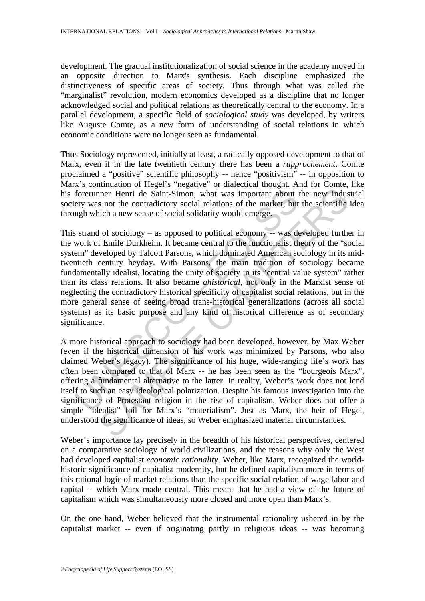development. The gradual institutionalization of social science in the academy moved in an opposite direction to Marx's synthesis. Each discipline emphasized the distinctiveness of specific areas of society. Thus through what was called the "marginalist" revolution, modern economics developed as a discipline that no longer acknowledged social and political relations as theoretically central to the economy. In a parallel development, a specific field of *sociological study* was developed, by writers like Auguste Comte, as a new form of understanding of social relations in which economic conditions were no longer seen as fundamental.

Thus Sociology represented, initially at least, a radically opposed development to that of Marx, even if in the late twentieth century there has been a *rapprochement*. Comte proclaimed a "positive" scientific philosophy -- hence "positivism" -- in opposition to Marx's continuation of Hegel's "negative" or dialectical thought. And for Comte, like his forerunner Henri de Saint-Simon, what was important about the new industrial society was not the contradictory social relations of the market, but the scientific idea through which a new sense of social solidarity would emerge.

forerunner Henri de Saint-Simon, what was important about ety was not the contradictory social relations of the market, but ugh which a new sense of social solidarity would emerge.<br>
s strand of sociology – as opposed to po mer Henri de Saint-Simon, what was important about the new induss<br>not the contradictory social relations of the market, but the scientific<br>ich a new sense of social solidarity would emerge.<br>If of sociology – as opposed to This strand of sociology – as opposed to political economy -- was developed further in the work of Emile Durkheim. It became central to the functionalist theory of the "social system" developed by Talcott Parsons, which dominated American sociology in its midtwentieth century heyday. With Parsons, the main tradition of sociology became fundamentally idealist, locating the unity of society in its "central value system" rather than its class relations. It also became *ahistorical*, not only in the Marxist sense of neglecting the contradictory historical specificity of capitalist social relations, but in the more general sense of seeing broad trans-historical generalizations (across all social systems) as its basic purpose and any kind of historical difference as of secondary significance.

A more historical approach to sociology had been developed, however, by Max Weber (even if the historical dimension of his work was minimized by Parsons, who also claimed Weber's legacy). The significance of his huge, wide-ranging life's work has often been compared to that of Marx -- he has been seen as the "bourgeois Marx", offering a fundamental alternative to the latter. In reality, Weber's work does not lend itself to such an easy ideological polarization. Despite his famous investigation into the significance of Protestant religion in the rise of capitalism, Weber does not offer a simple "idealist" foil for Marx's "materialism". Just as Marx, the heir of Hegel, understood the significance of ideas, so Weber emphasized material circumstances.

Weber's importance lay precisely in the breadth of his historical perspectives, centered on a comparative sociology of world civilizations, and the reasons why only the West had developed capitalist *economic rationality*. Weber, like Marx, recognized the worldhistoric significance of capitalist modernity, but he defined capitalism more in terms of this rational logic of market relations than the specific social relation of wage-labor and capital -- which Marx made central. This meant that he had a view of the future of capitalism which was simultaneously more closed and more open than Marx's.

On the one hand, Weber believed that the instrumental rationality ushered in by the capitalist market -- even if originating partly in religious ideas -- was becoming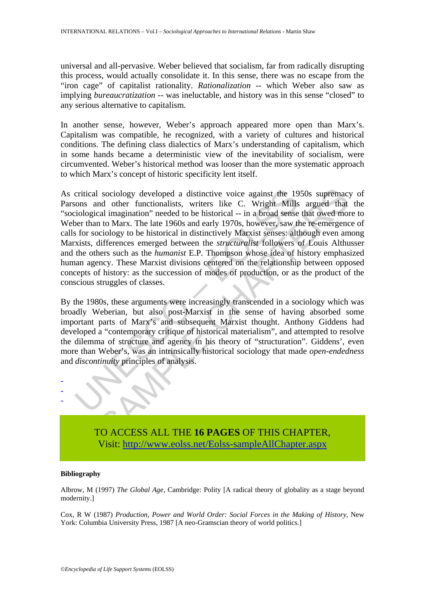universal and all-pervasive. Weber believed that socialism, far from radically disrupting this process, would actually consolidate it. In this sense, there was no escape from the "iron cage" of capitalist rationality. *Rationalization* -- which Weber also saw as implying *bureaucratization* -- was ineluctable, and history was in this sense "closed" to any serious alternative to capitalism.

In another sense, however, Weber's approach appeared more open than Marx's. Capitalism was compatible, he recognized, with a variety of cultures and historical conditions. The defining class dialectics of Marx's understanding of capitalism, which in some hands became a deterministic view of the inevitability of socialism, were circumvented. Weber's historical method was looser than the more systematic approach to which Marx's concept of historic specificity lent itself.

critical sociology developed a distinctive voice against the 19<br>cons and other functionalists, writers like C. Wright Mills<br>iological imagination" needed to be historical -- in a broad sense<br>or than to Marx. The late 1960s sociology developed a distinctive voice against the 1950s supremacy<br>do other functionalists, writers like C. Wright Mills argued that<br>all imagination" needed to be historical -- in a broad sense that owed mon<br>to Marx. The As critical sociology developed a distinctive voice against the 1950s supremacy of Parsons and other functionalists, writers like C. Wright Mills argued that the "sociological imagination" needed to be historical -- in a broad sense that owed more to Weber than to Marx. The late 1960s and early 1970s, however, saw the re-emergence of calls for sociology to be historical in distinctively Marxist senses: although even among Marxists, differences emerged between the *structuralist* followers of Louis Althusser and the others such as the *humanist* E.P. Thompson whose idea of history emphasized human agency. These Marxist divisions centered on the relationship between opposed concepts of history: as the succession of modes of production, or as the product of the conscious struggles of classes.

By the 1980s, these arguments were increasingly transcended in a sociology which was broadly Weberian, but also post-Marxist in the sense of having absorbed some important parts of Marx's and subsequent Marxist thought. Anthony Giddens had developed a "contemporary critique of historical materialism", and attempted to resolve the dilemma of structure and agency in his theory of "structuration". Giddens', even more than Weber's, was an intrinsically historical sociology that made *open-endedness* and *discontinuity* principles of analysis.



TO ACCESS ALL THE **16 PAGES** OF THIS CHAPTER, Visit[: http://www.eolss.net/Eolss-sampleAllChapter.aspx](https://www.eolss.net/ebooklib/sc_cart.aspx?File=E1-35-01-07)

#### **Bibliography**

Albrow, M (1997) *The Global Age,* Cambridge: Polity [A radical theory of globality as a stage beyond modernity.]

Cox, R W (1987) *Production, Power and World Order: Social Forces in the Making of History,* New York: Columbia University Press, 1987 [A neo-Gramscian theory of world politics.]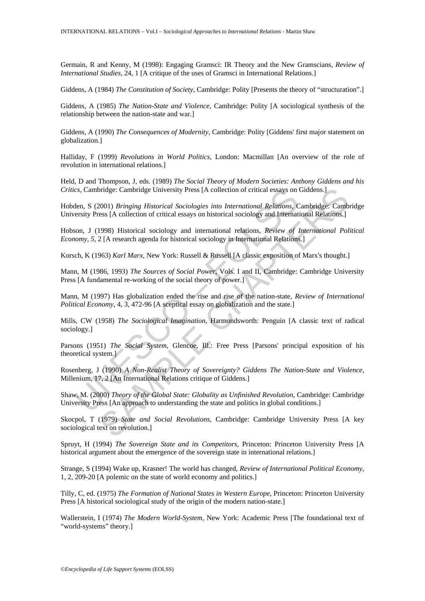Germain, R and Kenny, M (1998): Engaging Gramsci: IR Theory and the New Gramscians, *Review of International Studies,* 24, 1 [A critique of the uses of Gramsci in International Relations.]

Giddens, A (1984) *The Constitution of Society*, Cambridge: Polity [Presents the theory of "structuration".]

Giddens, A (1985) *The Nation-State and Violence*, Cambridge: Polity [A sociological synthesis of the relationship between the nation-state and war.]

Giddens, A (1990) *The Consequences of Modernity*, Cambridge: Polity [Giddens' first major statement on globalization.]

Halliday, F (1999) *Revolutions in World Politics*, London: Macmillan [An overview of the role of revolution in international relations.]

Held, D and Thompson, J, eds. (1989) *The Social Theory of Modern Societies: Anthony Giddens and his Critics,* Cambridge: Cambridge University Press [A collection of critical essays on Giddens.]

Hobden, S (2001) *Bringing Historical Sociologies into International Relations*, Cambridge: Cambridge University Press [A collection of critical essays on historical sociology and International Relations.]

Hobson, J (1998) Historical sociology and international relations, *Review of International Political Economy, 5, 2* [A research agenda for historical sociology in International Relations.]

Korsch, K (1963) *Karl Marx*, New York: Russell & Russell [A classic exposition of Marx's thought.]

Mann, M (1986, 1993) *The Sources of Social Power*, Vols. I and II, Cambridge: Cambridge University Press [A fundamental re-working of the social theory of power.]

Mann, M (1997) Has globalization ended the rise and rise of the nation-state, *Review of International Political Economy,* 4, 3, 472-96 [A sceptical essay on globalization and the state.]

Mills, CW (1958) *The Sociological Imagination*, Harmondsworth: Penguin [A classic text of radical sociology.]

cs, Cambridge: Cambridge University Press [A collection of critical essays on then, S (2001) *Bringing Historical Sociologies into International Relations*, Cersity Press [A collection of critical essays on historical soc bridge: Cambridge University Press [A collection of critical essays on Giddens.]<br>2001) *Bringing Historical Sociologies into International Relations*, Cambridge: Camb<br>ess [A collection of critical essays on historical soci Parsons (1951) *The Social System*, Glencoe, Ill.: Free Press [Parsons' principal exposition of his theoretical system.]

Rosenberg, J (1990) *A Non-Realist Theory of Sovereignty? Giddens The Nation-State and Violence,* Millenium, 17, 2 [An International Relations critique of Giddens.]

Shaw, M. (2000) *Theory of the Global State: Globality as Unfinished Revolution*, Cambridge: Cambridge University Press [An approach to understanding the state and politics in global conditions.]

Skocpol, T (1979) *State and Social Revolutions*, Cambridge: Cambridge University Press [A key sociological text on revolution.]

Spruyt, H (1994) *The Sovereign State and its Competitors*, Princeton: Princeton University Press [A historical argument about the emergence of the sovereign state in international relations.]

Strange, S (1994) Wake up, Krasner! The world has changed, *Review of International Political Economy*, 1, 2, 209-20 [A polemic on the state of world economy and politics.]

Tilly, C, ed. (1975) *The Formation of National States in Western Europe*, Princeton: Princeton University Press [A historical sociological study of the origin of the modern nation-state.]

Wallerstein, I (1974) *The Modern World-System*, New York: Academic Press [The foundational text of "world-systems" theory.]